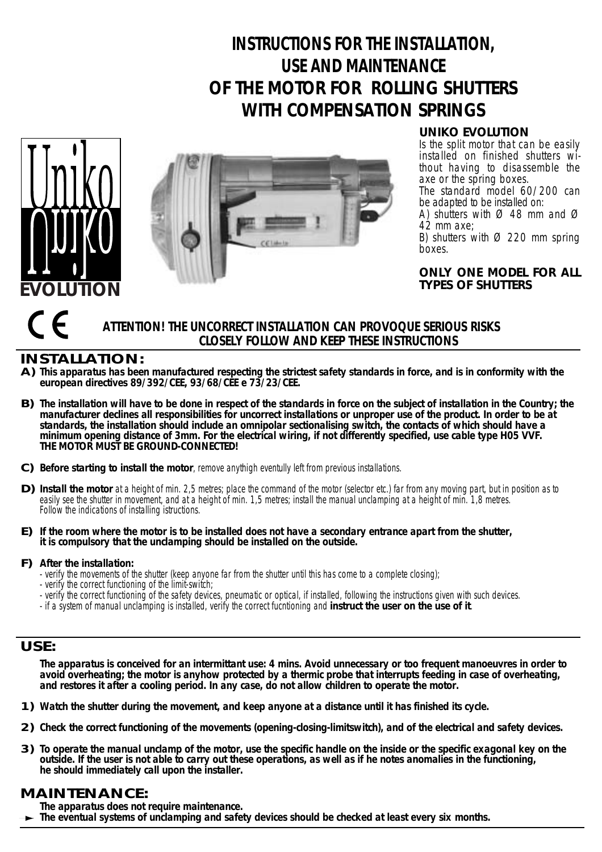# **INSTRUCTIONS FOR THE INSTALLATION, USE AND MAINTENANCE OF THE MOTOR FOR ROLLING SHUTTERS WITH COMPENSATION SPRINGS**





**UNIKO EVOLUTION**

Is the split motor that can be easily installed on finished shutters without having to disassemble the axe or the spring boxes. The standard model 60/200 can

be adapted to be installed on:

A) shutters with  $\varnothing$  48 mm and  $\varnothing$ 42 mm axe;

B) shutters with  $\varnothing$  220 mm spring boxes.

**ONLY ONE MODEL FOR ALL TYPES OF SHUTTERS**

## **ATTENTION! THE UNCORRECT INSTALLATION CAN PROVOQUE SERIOUS RISKS CLOSELY FOLLOW AND KEEP THESE INSTRUCTIONS**

# **INSTALLATION:**

- **This apparatus has been manufactured respecting the strictest safety standards in force, and is in conformity with the A) european directives 89/392/CEE, 93/68/CEE e 73/23/CEE.**
- **The installation will have to be done in respect of the standards in force on the subject of installation in the Country; the B) manufacturer declines all responsibilities for uncorrect installations or unproper use of the product. In order to be at standards, the installation should include an omnipolar sectionalising switch, the contacts of which should have a minimum opening distance of 3mm. For the electrical wiring, if not differently specified, use cable type H05 VVF. THE MOTOR MUST BE GROUND-CONNECTED!**
- C) Before starting to install the motor, remove anythigh eventully left from previous installations.
- D) Install the motor at a height of min. 2,5 metres; place the command of the motor (selector etc.) far from any moving part, but in position as to easily see the shutter in movement, and at a height of min. 1,5 metres; install the manual unclamping at a height of min. 1,8 metres. Follow the indications of installing istructions.
- **If the room where the motor is to be installed does not have a secondary entrance apart from the shutter, E) it is compulsory that the unclamping should be installed on the outside.**

## **After the installation: F)**

- verify the movements of the shutter (keep anyone far from the shutter until this has come to a complete closing);
- verify the correct functioning of the limit-switch;
- verify the correct functioning of the safety devices, pneumatic or optical, if installed, following the instructions given with such devices.
- if a system of manual unclamping is installed, verify the correct fucntioning and **instruct the user on the use of it**.

#### **USE:**

**The apparatus is conceived for an intermittant use: 4 mins. Avoid unnecessary or too frequent manoeuvres in order to**  avoid overheating; the motor is anyhow protected by a thermic probe that interrupts feeding in case of overheating, **and restores it after a cooling period. In any case, do not allow children to operate the motor.**

- **1) Watch the shutter during the movement, and keep anyone at a distance until it has finished its cycle.**
- **2) Check the correct functioning of the movements (opening-closing-limitswitch), and of the electrical and safety devices.**
- **3) To operate the manual unclamp of the motor, use the specific handle on the inside or the specific exagonal key on the outside. If the user is not able to carry out these operations, as well as if he notes anomalies in the functioning, he should immediately call upon the installer.**

# **MAINTENANCE:**

**The apparatus does not require maintenance.**

**The eventual systems of unclamping and safety devices should be checked at least every six months.**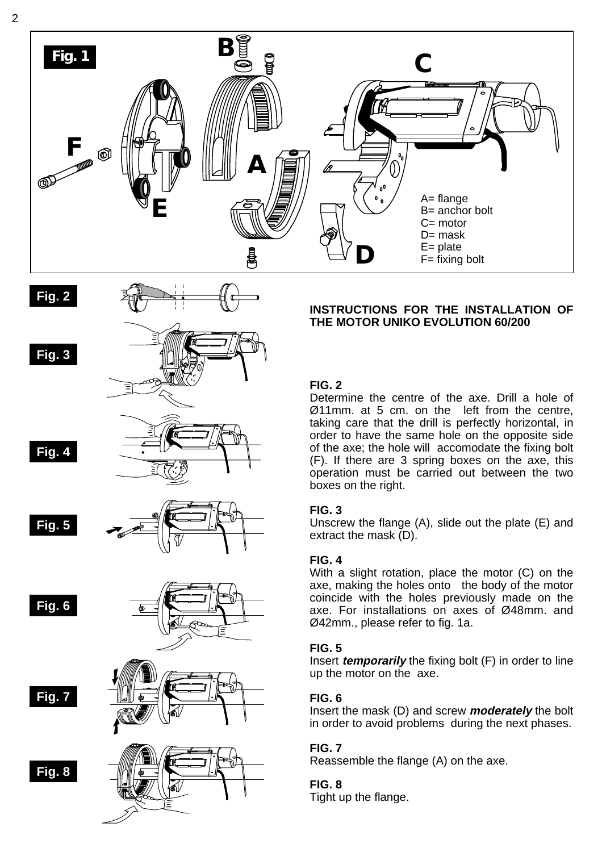

# **Fig. 2**



**Fig. 4**





**Fig. 6**





**Fig. 7**



#### **INSTRUCTIONS FOR THE INSTALLATION OF THE MOTOR UNIKO EVOLUTION 60/200**

## **FIG. 2**

Determine the centre of the axe. Drill a hole of Ø11mm. at 5 cm. on the left from the centre, taking care that the drill is perfectly horizontal, in order to have the same hole on the opposite side of the axe; the hole will accomodate the fixing bolt (F). If there are 3 spring boxes on the axe, this operation must be carried out between the two boxes on the right.

#### **FIG. 3**

Unscrew the flange (A), slide out the plate (E) and extract the mask (D).

## **FIG. 4**

With a slight rotation, place the motor (C) on the axe, making the holes onto the body of the motor coincide with the holes previously made on the axe. For installations on axes of Ø48mm. and Ø42mm., please refer to fig. 1a.

#### **FIG. 5**

Insert **temporarily** the fixing bolt (F) in order to line up the motor on the axe.

## **FIG. 6**

Insert the mask (D) and screw **moderately** the bolt in order to avoid problems during the next phases.

## **FIG. 7**

Reassemble the flange (A) on the axe.

## **FIG. 8**

Tight up the flange.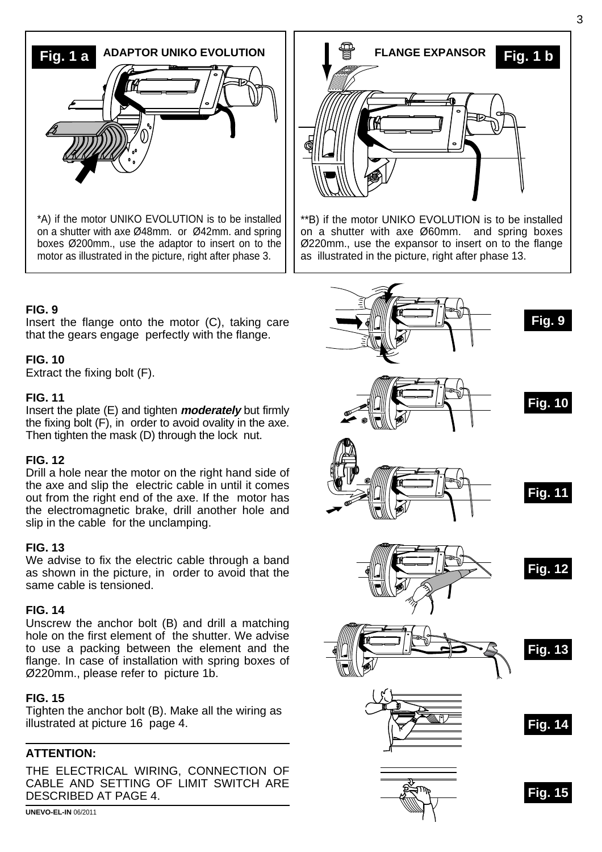

boxes Ø200mm., use the adaptor to insert on to the motor as illustrated in the picture, right after phase 3.

#### **FIG. 9**

Insert the flange onto the motor (C), taking care that the gears engage perfectly with the flange.

#### **FIG. 10**

Extract the fixing bolt (F).

## **FIG. 11**

Insert the plate (E) and tighten **moderately** but firmly the fixing bolt (F), in order to avoid ovality in the axe. Then tighten the mask (D) through the lock nut.

#### **FIG. 12**

Drill a hole near the motor on the right hand side of the axe and slip the electric cable in until it comes out from the right end of the axe. If the motor has the electromagnetic brake, drill another hole and slip in the cable for the unclamping.

#### **FIG. 13**

We advise to fix the electric cable through a band as shown in the picture, in order to avoid that the same cable is tensioned.

#### **FIG. 14**

Unscrew the anchor bolt (B) and drill a matching hole on the first element of the shutter. We advise to use a packing between the element and the flange. In case of installation with spring boxes of Ø220mm., please refer to picture 1b.

#### **FIG. 15**

Tighten the anchor bolt (B). Make all the wiring as illustrated at picture 16 page 4.

#### **ATTENTION:**

THE ELECTRICAL WIRING, CONNECTION OF CABLE AND SETTING OF LIMIT SWITCH ARE DESCRIBED AT PAGE 4.

**UNEVO-EL-IN** 06/2011



\*\*B) if the motor UNIKO EVOLUTION is to be installed on a shutter with axe Ø60mm. and spring boxes Ø220mm., use the expansor to insert on to the flange as illustrated in the picture, right after phase 13.